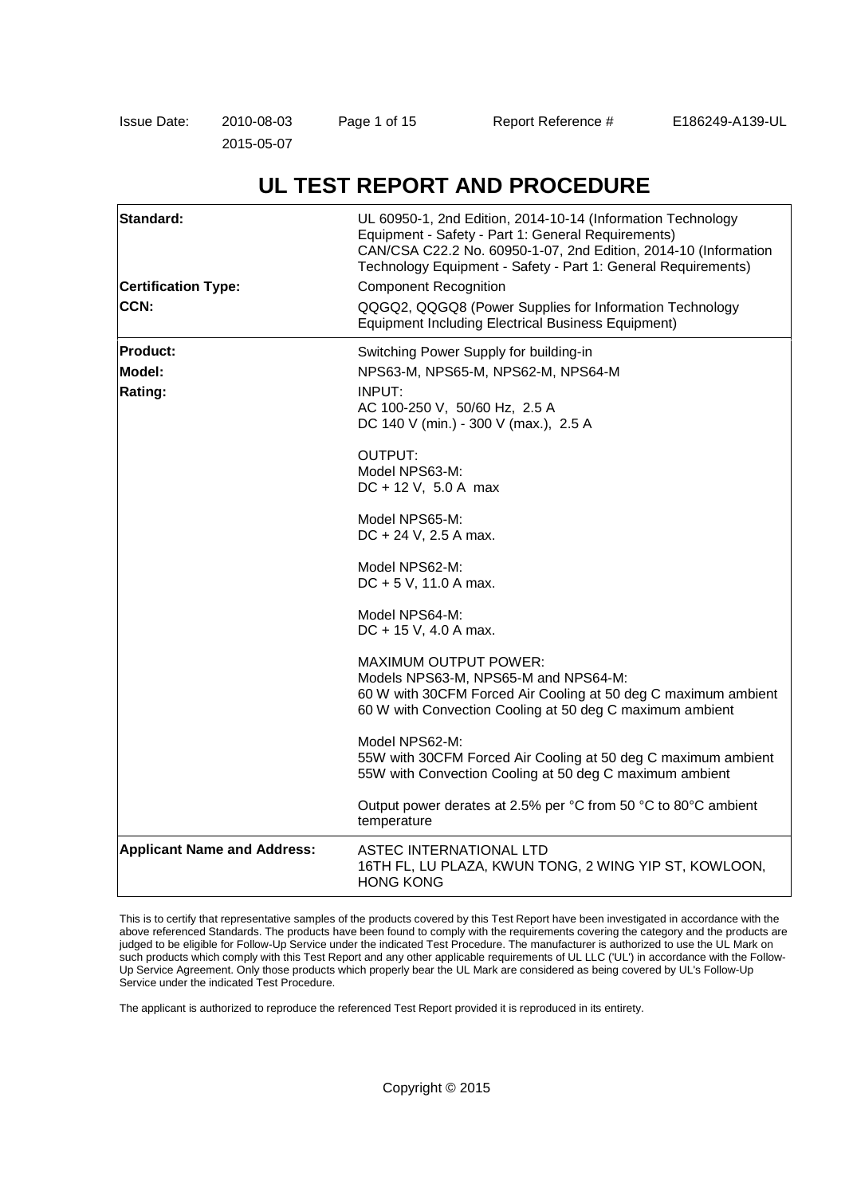| Issue Date: | 2010-08-03 | Page 1 of 15 | Report Reference # | E186249-A139-UL |
|-------------|------------|--------------|--------------------|-----------------|
|             | 2015-05-07 |              |                    |                 |

# **UL TEST REPORT AND PROCEDURE**

| Standard:<br><b>Certification Type:</b><br>CCN: | UL 60950-1, 2nd Edition, 2014-10-14 (Information Technology<br>Equipment - Safety - Part 1: General Requirements)<br>CAN/CSA C22.2 No. 60950-1-07, 2nd Edition, 2014-10 (Information<br>Technology Equipment - Safety - Part 1: General Requirements)<br><b>Component Recognition</b><br>QQGQ2, QQGQ8 (Power Supplies for Information Technology<br><b>Equipment Including Electrical Business Equipment)</b> |  |
|-------------------------------------------------|---------------------------------------------------------------------------------------------------------------------------------------------------------------------------------------------------------------------------------------------------------------------------------------------------------------------------------------------------------------------------------------------------------------|--|
| <b>IProduct:</b>                                | Switching Power Supply for building-in                                                                                                                                                                                                                                                                                                                                                                        |  |
| Model:                                          | NPS63-M, NPS65-M, NPS62-M, NPS64-M                                                                                                                                                                                                                                                                                                                                                                            |  |
| Rating:                                         | INPUT:<br>AC 100-250 V, 50/60 Hz, 2.5 A<br>DC 140 V (min.) - 300 V (max.), 2.5 A                                                                                                                                                                                                                                                                                                                              |  |
|                                                 | OUTPUT:<br>Model NPS63-M:<br>$DC + 12 V, 5.0 A max$                                                                                                                                                                                                                                                                                                                                                           |  |
|                                                 | Model NPS65-M:<br>DC + 24 V, 2.5 A max.                                                                                                                                                                                                                                                                                                                                                                       |  |
|                                                 | Model NPS62-M:<br>DC + 5 V, 11.0 A max.                                                                                                                                                                                                                                                                                                                                                                       |  |
|                                                 | Model NPS64-M:<br>DC + 15 V, 4.0 A max.                                                                                                                                                                                                                                                                                                                                                                       |  |
|                                                 | <b>MAXIMUM OUTPUT POWER:</b><br>Models NPS63-M, NPS65-M and NPS64-M:<br>60 W with 30CFM Forced Air Cooling at 50 deg C maximum ambient<br>60 W with Convection Cooling at 50 deg C maximum ambient                                                                                                                                                                                                            |  |
|                                                 | Model NPS62-M:<br>55W with 30CFM Forced Air Cooling at 50 deg C maximum ambient<br>55W with Convection Cooling at 50 deg C maximum ambient                                                                                                                                                                                                                                                                    |  |
|                                                 | Output power derates at 2.5% per °C from 50 °C to 80°C ambient<br>temperature                                                                                                                                                                                                                                                                                                                                 |  |
| <b>Applicant Name and Address:</b>              | ASTEC INTERNATIONAL LTD<br>16TH FL, LU PLAZA, KWUN TONG, 2 WING YIP ST, KOWLOON,<br><b>HONG KONG</b>                                                                                                                                                                                                                                                                                                          |  |

This is to certify that representative samples of the products covered by this Test Report have been investigated in accordance with the above referenced Standards. The products have been found to comply with the requirements covering the category and the products are judged to be eligible for Follow-Up Service under the indicated Test Procedure. The manufacturer is authorized to use the UL Mark on such products which comply with this Test Report and any other applicable requirements of UL LLC ('UL') in accordance with the Follow-Up Service Agreement. Only those products which properly bear the UL Mark are considered as being covered by UL's Follow-Up Service under the indicated Test Procedure.

The applicant is authorized to reproduce the referenced Test Report provided it is reproduced in its entirety.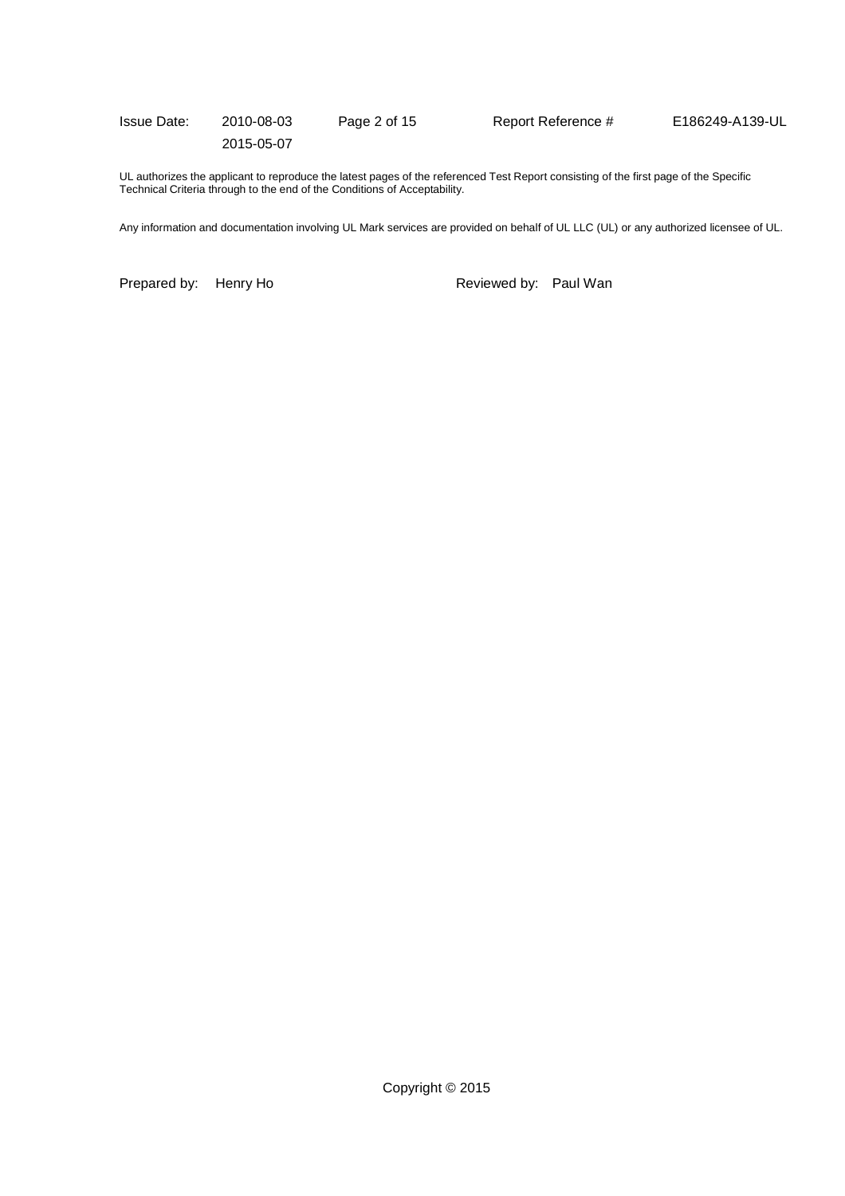| Issue Date: | 2010-08-03 | Page 2 of 15 | Report Reference # | E186249-A139-UL |
|-------------|------------|--------------|--------------------|-----------------|
|             | 2015-05-07 |              |                    |                 |

UL authorizes the applicant to reproduce the latest pages of the referenced Test Report consisting of the first page of the Specific Technical Criteria through to the end of the Conditions of Acceptability.

Any information and documentation involving UL Mark services are provided on behalf of UL LLC (UL) or any authorized licensee of UL.

Prepared by: Henry Ho **Reviewed by: Paul Wan**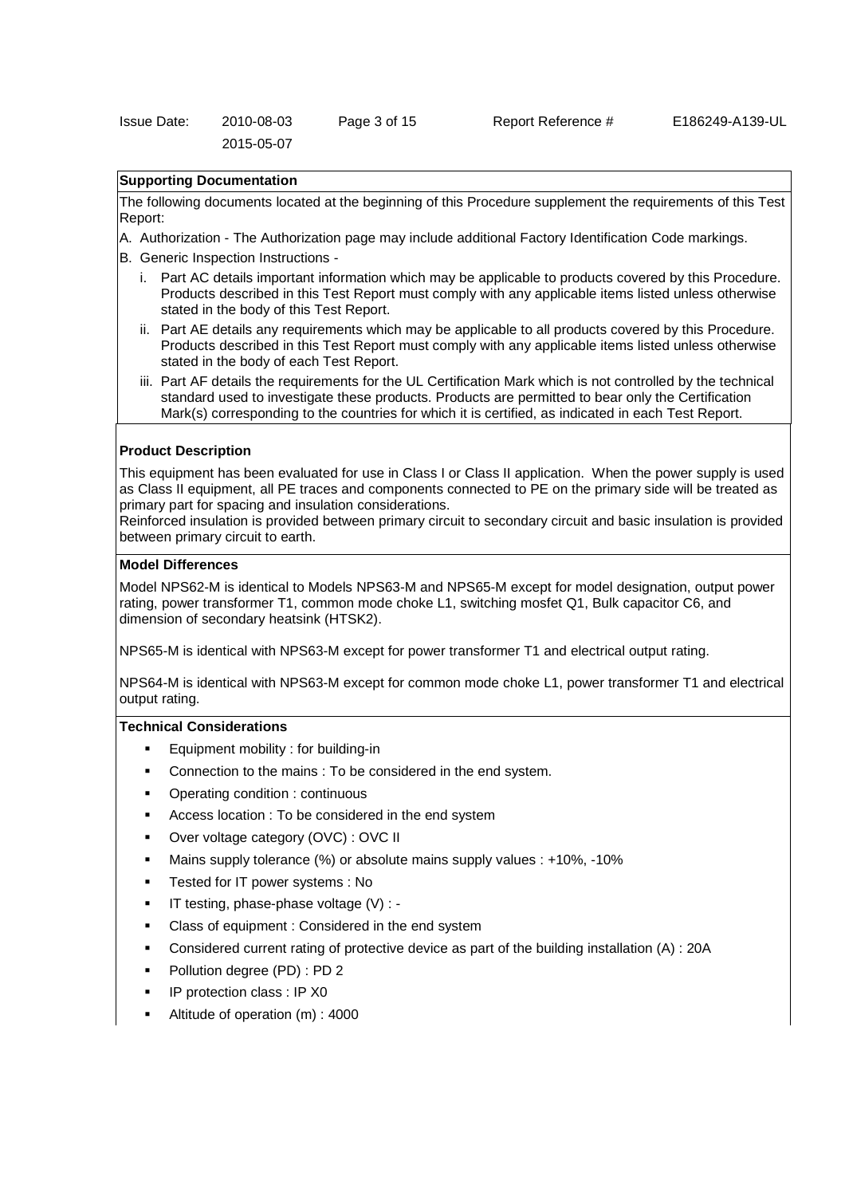### **Supporting Documentation**

The following documents located at the beginning of this Procedure supplement the requirements of this Test Report:

- A. Authorization The Authorization page may include additional Factory Identification Code markings.
- B. Generic Inspection Instructions
	- i. Part AC details important information which may be applicable to products covered by this Procedure. Products described in this Test Report must comply with any applicable items listed unless otherwise stated in the body of this Test Report.
	- ii. Part AE details any requirements which may be applicable to all products covered by this Procedure. Products described in this Test Report must comply with any applicable items listed unless otherwise stated in the body of each Test Report.
	- iii. Part AF details the requirements for the UL Certification Mark which is not controlled by the technical standard used to investigate these products. Products are permitted to bear only the Certification Mark(s) corresponding to the countries for which it is certified, as indicated in each Test Report.

### **Product Description**

This equipment has been evaluated for use in Class I or Class II application. When the power supply is used as Class II equipment, all PE traces and components connected to PE on the primary side will be treated as primary part for spacing and insulation considerations.

Reinforced insulation is provided between primary circuit to secondary circuit and basic insulation is provided between primary circuit to earth.

### **Model Differences**

Model NPS62-M is identical to Models NPS63-M and NPS65-M except for model designation, output power rating, power transformer T1, common mode choke L1, switching mosfet Q1, Bulk capacitor C6, and dimension of secondary heatsink (HTSK2).

NPS65-M is identical with NPS63-M except for power transformer T1 and electrical output rating.

NPS64-M is identical with NPS63-M except for common mode choke L1, power transformer T1 and electrical output rating.

### **Technical Considerations**

- Equipment mobility : for building-in
- Connection to the mains : To be considered in the end system.
- Operating condition : continuous
- Access location : To be considered in the end system
- Over voltage category (OVC) : OVC II
- Mains supply tolerance (%) or absolute mains supply values : +10%, -10%
- Tested for IT power systems : No
- IT testing, phase-phase voltage (V) : -
- Class of equipment : Considered in the end system
- Considered current rating of protective device as part of the building installation (A) : 20A
- Pollution degree (PD) : PD 2
- IP protection class : IP X0
- Altitude of operation (m) : 4000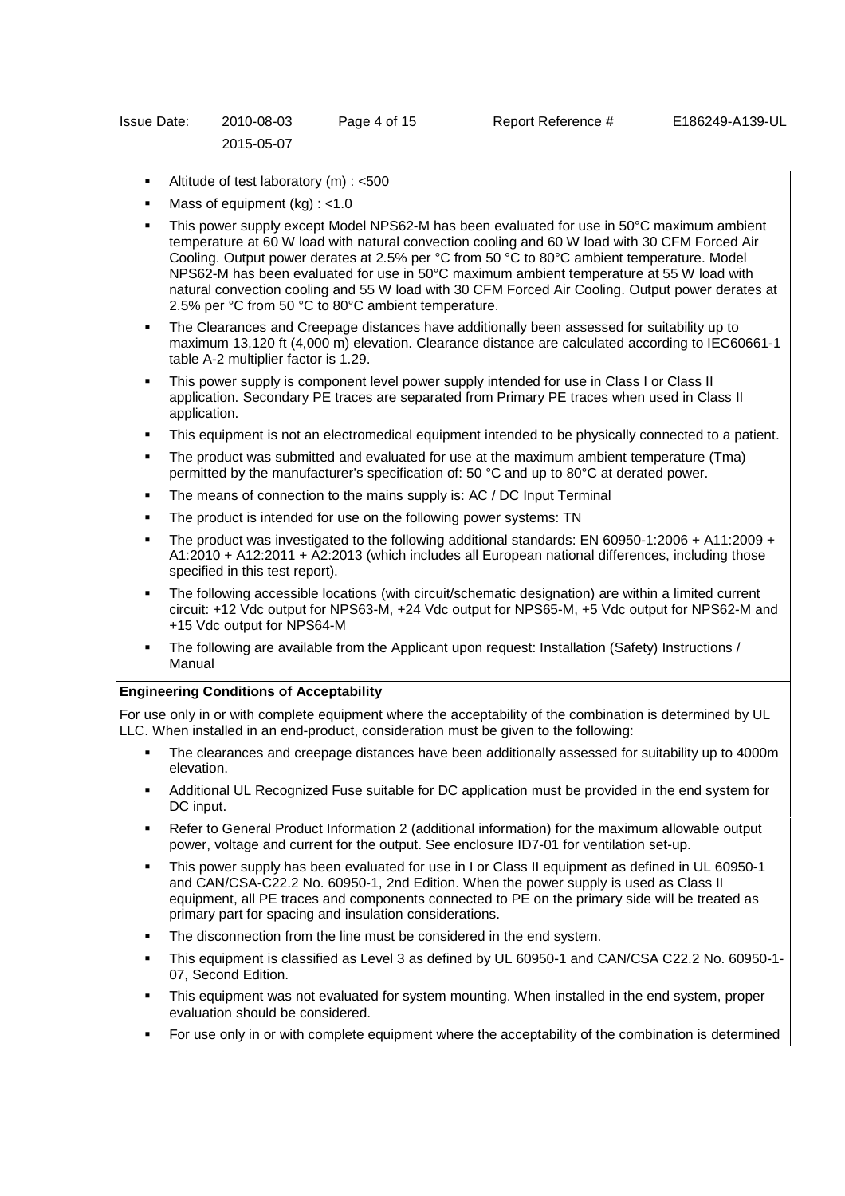- Altitude of test laboratory (m) : <500
- Mass of equipment (kg) : <1.0
- This power supply except Model NPS62-M has been evaluated for use in 50°C maximum ambient temperature at 60 W load with natural convection cooling and 60 W load with 30 CFM Forced Air Cooling. Output power derates at 2.5% per °C from 50 °C to 80°C ambient temperature. Model NPS62-M has been evaluated for use in 50°C maximum ambient temperature at 55 W load with natural convection cooling and 55 W load with 30 CFM Forced Air Cooling. Output power derates at 2.5% per °C from 50 °C to 80°C ambient temperature.
- The Clearances and Creepage distances have additionally been assessed for suitability up to maximum 13,120 ft (4,000 m) elevation. Clearance distance are calculated according to IEC60661-1 table A-2 multiplier factor is 1.29.
- This power supply is component level power supply intended for use in Class I or Class II application. Secondary PE traces are separated from Primary PE traces when used in Class II application.
- This equipment is not an electromedical equipment intended to be physically connected to a patient.
- The product was submitted and evaluated for use at the maximum ambient temperature (Tma) permitted by the manufacturer's specification of: 50 °C and up to 80°C at derated power.
- The means of connection to the mains supply is: AC / DC Input Terminal
- The product is intended for use on the following power systems: TN
- The product was investigated to the following additional standards: EN 60950-1:2006 + A11:2009 + A1:2010 + A12:2011 + A2:2013 (which includes all European national differences, including those specified in this test report).
- The following accessible locations (with circuit/schematic designation) are within a limited current circuit: +12 Vdc output for NPS63-M, +24 Vdc output for NPS65-M, +5 Vdc output for NPS62-M and +15 Vdc output for NPS64-M
- The following are available from the Applicant upon request: Installation (Safety) Instructions / Manual

## **Engineering Conditions of Acceptability**

For use only in or with complete equipment where the acceptability of the combination is determined by UL LLC. When installed in an end-product, consideration must be given to the following:

- The clearances and creepage distances have been additionally assessed for suitability up to 4000m elevation.
- Additional UL Recognized Fuse suitable for DC application must be provided in the end system for DC input.
- Refer to General Product Information 2 (additional information) for the maximum allowable output power, voltage and current for the output. See enclosure ID7-01 for ventilation set-up.
- This power supply has been evaluated for use in I or Class II equipment as defined in UL 60950-1 and CAN/CSA-C22.2 No. 60950-1, 2nd Edition. When the power supply is used as Class II equipment, all PE traces and components connected to PE on the primary side will be treated as primary part for spacing and insulation considerations.
- The disconnection from the line must be considered in the end system.
- This equipment is classified as Level 3 as defined by UL 60950-1 and CAN/CSA C22.2 No. 60950-1- 07, Second Edition.
- This equipment was not evaluated for system mounting. When installed in the end system, proper evaluation should be considered.
- For use only in or with complete equipment where the acceptability of the combination is determined